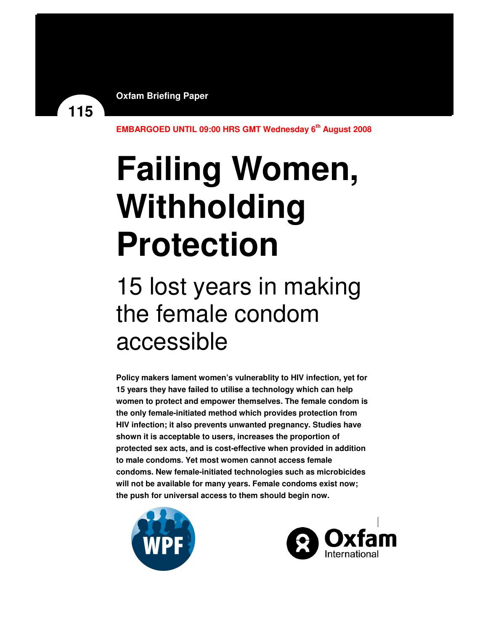**Oxfam Briefing Paper**

**EMBARGOED UNTIL 09:00 HRS GMT Wednesday 6th August 2008** 

# **Failing Women, Withholding Protection**

## 15 lost years in making the female condom accessible

**Policy makers lament women's vulnerablity to HIV infection, yet for 15 years they have failed to utilise a technology which can help women to protect and empower themselves. The female condom is the only female-initiated method which provides protection from HIV infection; it also prevents unwanted pregnancy. Studies have shown it is acceptable to users, increases the proportion of protected sex acts, and is cost-effective when provided in addition to male condoms. Yet most women cannot access female condoms. New female-initiated technologies such as microbicides will not be available for many years. Female condoms exist now; the push for universal access to them should begin now.** 



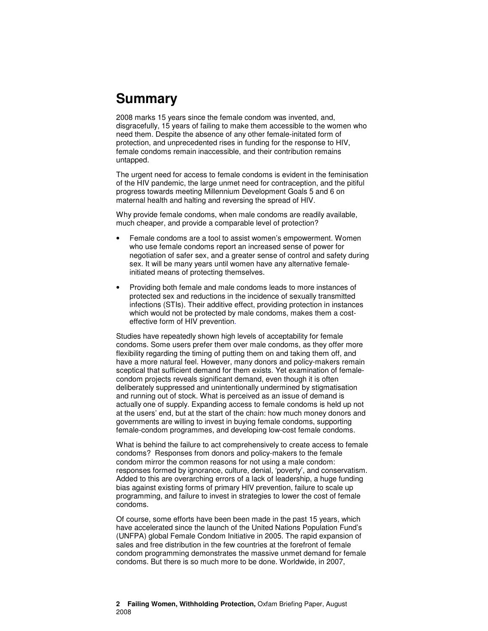### **Summary**

2008 marks 15 years since the female condom was invented, and, disgracefully, 15 years of failing to make them accessible to the women who need them. Despite the absence of any other female-initated form of protection, and unprecedented rises in funding for the response to HIV, female condoms remain inaccessible, and their contribution remains untapped.

The urgent need for access to female condoms is evident in the feminisation of the HIV pandemic, the large unmet need for contraception, and the pitiful progress towards meeting Millennium Development Goals 5 and 6 on maternal health and halting and reversing the spread of HIV.

Why provide female condoms, when male condoms are readily available, much cheaper, and provide a comparable level of protection?

- Female condoms are a tool to assist women's empowerment. Women who use female condoms report an increased sense of power for negotiation of safer sex, and a greater sense of control and safety during sex. It will be many years until women have any alternative femaleinitiated means of protecting themselves.
- Providing both female and male condoms leads to more instances of protected sex and reductions in the incidence of sexually transmitted infections (STIs). Their additive effect, providing protection in instances which would not be protected by male condoms, makes them a costeffective form of HIV prevention.

Studies have repeatedly shown high levels of acceptability for female condoms. Some users prefer them over male condoms, as they offer more flexibility regarding the timing of putting them on and taking them off, and have a more natural feel. However, many donors and policy-makers remain sceptical that sufficient demand for them exists. Yet examination of femalecondom projects reveals significant demand, even though it is often deliberately suppressed and unintentionally undermined by stigmatisation and running out of stock. What is perceived as an issue of demand is actually one of supply. Expanding access to female condoms is held up not at the users' end, but at the start of the chain: how much money donors and governments are willing to invest in buying female condoms, supporting female-condom programmes, and developing low-cost female condoms.

What is behind the failure to act comprehensively to create access to female condoms? Responses from donors and policy-makers to the female condom mirror the common reasons for not using a male condom: responses formed by ignorance, culture, denial, 'poverty', and conservatism. Added to this are overarching errors of a lack of leadership, a huge funding bias against existing forms of primary HIV prevention, failure to scale up programming, and failure to invest in strategies to lower the cost of female condoms.

Of course, some efforts have been been made in the past 15 years, which have accelerated since the launch of the United Nations Population Fund's (UNFPA) global Female Condom Initiative in 2005. The rapid expansion of sales and free distribution in the few countries at the forefront of female condom programming demonstrates the massive unmet demand for female condoms. But there is so much more to be done. Worldwide, in 2007,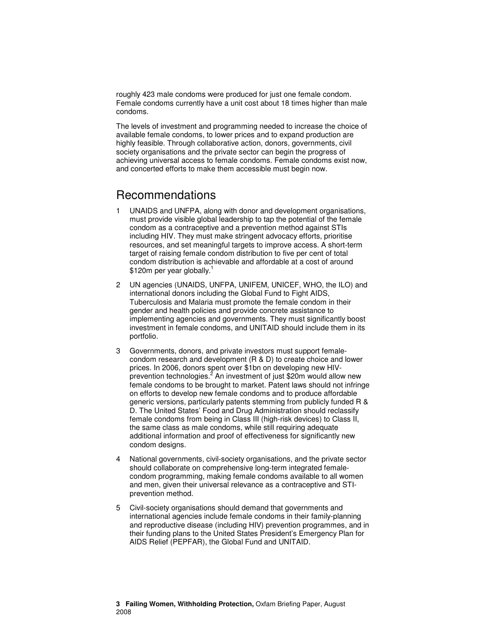roughly 423 male condoms were produced for just one female condom. Female condoms currently have a unit cost about 18 times higher than male condoms.

The levels of investment and programming needed to increase the choice of available female condoms, to lower prices and to expand production are highly feasible. Through collaborative action, donors, governments, civil society organisations and the private sector can begin the progress of achieving universal access to female condoms. Female condoms exist now, and concerted efforts to make them accessible must begin now.

### Recommendations

- 1 UNAIDS and UNFPA, along with donor and development organisations, must provide visible global leadership to tap the potential of the female condom as a contraceptive and a prevention method against STIs including HIV. They must make stringent advocacy efforts, prioritise resources, and set meaningful targets to improve access. A short-term target of raising female condom distribution to five per cent of total condom distribution is achievable and affordable at a cost of around \$120m per year globally.<sup>1</sup>
- 2 UN agencies (UNAIDS, UNFPA, UNIFEM, UNICEF, WHO, the ILO) and international donors including the Global Fund to Fight AIDS, Tuberculosis and Malaria must promote the female condom in their gender and health policies and provide concrete assistance to implementing agencies and governments. They must significantly boost investment in female condoms, and UNITAID should include them in its portfolio.
- 3 Governments, donors, and private investors must support femalecondom research and development (R & D) to create choice and lower prices. In 2006, donors spent over \$1bn on developing new HIVprevention technologies.<sup>2</sup> An investment of just \$20m would allow new female condoms to be brought to market. Patent laws should not infringe on efforts to develop new female condoms and to produce affordable generic versions, particularly patents stemming from publicly funded R & D. The United States' Food and Drug Administration should reclassify female condoms from being in Class III (high-risk devices) to Class II, the same class as male condoms, while still requiring adequate additional information and proof of effectiveness for significantly new condom designs.
- 4 National governments, civil-society organisations, and the private sector should collaborate on comprehensive long-term integrated femalecondom programming, making female condoms available to all women and men, given their universal relevance as a contraceptive and STIprevention method.
- 5 Civil-society organisations should demand that governments and international agencies include female condoms in their family-planning and reproductive disease (including HIV) prevention programmes, and in their funding plans to the United States President's Emergency Plan for AIDS Relief (PEPFAR), the Global Fund and UNITAID.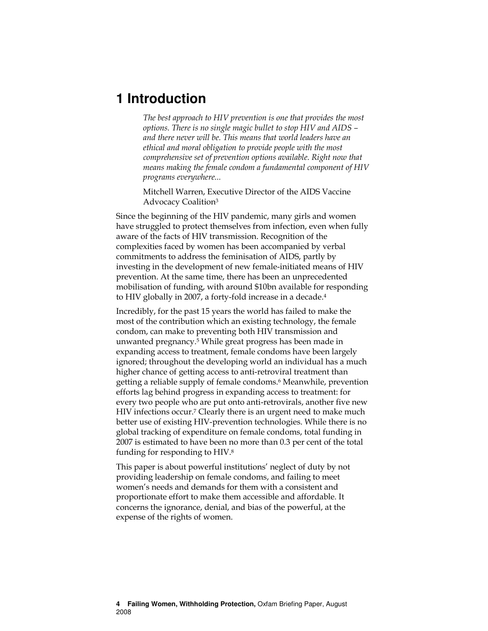### **1 Introduction**

The best approach to HIV prevention is one that provides the most options. There is no single magic bullet to stop HIV and AIDS – and there never will be. This means that world leaders have an ethical and moral obligation to provide people with the most comprehensive set of prevention options available. Right now that means making the female condom a fundamental component of HIV programs everywhere...

Mitchell Warren, Executive Director of the AIDS Vaccine Advocacy Coalition<sup>3</sup>

Since the beginning of the HIV pandemic, many girls and women have struggled to protect themselves from infection, even when fully aware of the facts of HIV transmission. Recognition of the complexities faced by women has been accompanied by verbal commitments to address the feminisation of AIDS, partly by investing in the development of new female-initiated means of HIV prevention. At the same time, there has been an unprecedented mobilisation of funding, with around \$10bn available for responding to HIV globally in 2007, a forty-fold increase in a decade.<sup>4</sup>

Incredibly, for the past 15 years the world has failed to make the most of the contribution which an existing technology, the female condom, can make to preventing both HIV transmission and unwanted pregnancy.5 While great progress has been made in expanding access to treatment, female condoms have been largely ignored; throughout the developing world an individual has a much higher chance of getting access to anti-retroviral treatment than getting a reliable supply of female condoms.6 Meanwhile, prevention efforts lag behind progress in expanding access to treatment: for every two people who are put onto anti-retrovirals, another five new HIV infections occur.<sup>7</sup> Clearly there is an urgent need to make much better use of existing HIV-prevention technologies. While there is no global tracking of expenditure on female condoms, total funding in 2007 is estimated to have been no more than 0.3 per cent of the total funding for responding to HIV.<sup>8</sup>

This paper is about powerful institutions' neglect of duty by not providing leadership on female condoms, and failing to meet women's needs and demands for them with a consistent and proportionate effort to make them accessible and affordable. It concerns the ignorance, denial, and bias of the powerful, at the expense of the rights of women.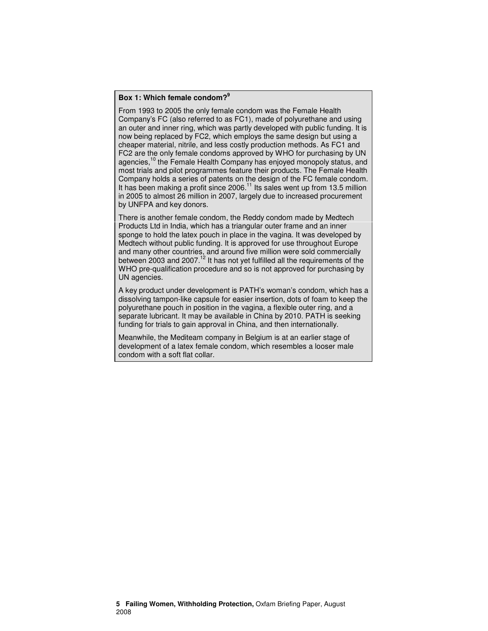### **Box 1: Which female condom?<sup>9</sup>**

From 1993 to 2005 the only female condom was the Female Health Company's FC (also referred to as FC1), made of polyurethane and using an outer and inner ring, which was partly developed with public funding. It is now being replaced by FC2, which employs the same design but using a cheaper material, nitrile, and less costly production methods. As FC1 and FC2 are the only female condoms approved by WHO for purchasing by UN agencies,<sup>10</sup> the Female Health Company has enjoyed monopoly status, and most trials and pilot programmes feature their products. The Female Health Company holds a series of patents on the design of the FC female condom. It has been making a profit since  $2006<sup>11</sup>$  Its sales went up from 13.5 million in 2005 to almost 26 million in 2007, largely due to increased procurement by UNFPA and key donors.

There is another female condom, the Reddy condom made by Medtech Products Ltd in India, which has a triangular outer frame and an inner sponge to hold the latex pouch in place in the vagina. It was developed by Medtech without public funding. It is approved for use throughout Europe and many other countries, and around five million were sold commercially between 2003 and 2007.<sup>12</sup> It has not yet fulfilled all the requirements of the WHO pre-qualification procedure and so is not approved for purchasing by UN agencies.

A key product under development is PATH's woman's condom, which has a dissolving tampon-like capsule for easier insertion, dots of foam to keep the polyurethane pouch in position in the vagina, a flexible outer ring, and a separate lubricant. It may be available in China by 2010. PATH is seeking funding for trials to gain approval in China, and then internationally.

Meanwhile, the Mediteam company in Belgium is at an earlier stage of development of a latex female condom, which resembles a looser male condom with a soft flat collar.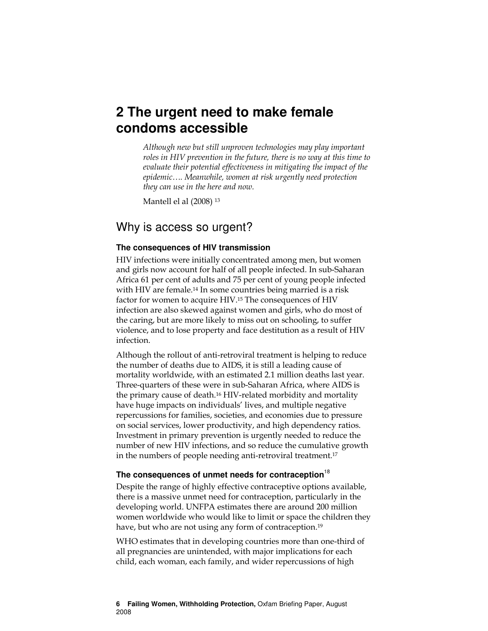### **2 The urgent need to make female condoms accessible**

Although new but still unproven technologies may play important roles in HIV prevention in the future, there is no way at this time to evaluate their potential effectiveness in mitigating the impact of the epidemic…. Meanwhile, women at risk urgently need protection they can use in the here and now.

Mantell el al (2008) <sup>13</sup>

### Why is access so urgent?

#### **The consequences of HIV transmission**

HIV infections were initially concentrated among men, but women and girls now account for half of all people infected. In sub-Saharan Africa 61 per cent of adults and 75 per cent of young people infected with HIV are female.<sup>14</sup> In some countries being married is a risk factor for women to acquire HIV.<sup>15</sup> The consequences of HIV infection are also skewed against women and girls, who do most of the caring, but are more likely to miss out on schooling, to suffer violence, and to lose property and face destitution as a result of HIV infection.

Although the rollout of anti-retroviral treatment is helping to reduce the number of deaths due to AIDS, it is still a leading cause of mortality worldwide, with an estimated 2.1 million deaths last year. Three-quarters of these were in sub-Saharan Africa, where AIDS is the primary cause of death.16 HIV-related morbidity and mortality have huge impacts on individuals' lives, and multiple negative repercussions for families, societies, and economies due to pressure on social services, lower productivity, and high dependency ratios. Investment in primary prevention is urgently needed to reduce the number of new HIV infections, and so reduce the cumulative growth in the numbers of people needing anti-retroviral treatment.<sup>17</sup>

### **The consequences of unmet needs for contraception**<sup>18</sup>

Despite the range of highly effective contraceptive options available, there is a massive unmet need for contraception, particularly in the developing world. UNFPA estimates there are around 200 million women worldwide who would like to limit or space the children they have, but who are not using any form of contraception.<sup>19</sup>

WHO estimates that in developing countries more than one-third of all pregnancies are unintended, with major implications for each child, each woman, each family, and wider repercussions of high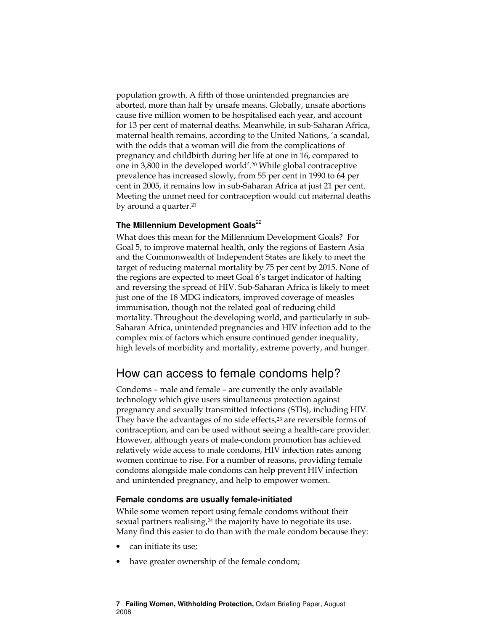population growth. A fifth of those unintended pregnancies are aborted, more than half by unsafe means. Globally, unsafe abortions cause five million women to be hospitalised each year, and account for 13 per cent of maternal deaths. Meanwhile, in sub-Saharan Africa, maternal health remains, according to the United Nations, 'a scandal, with the odds that a woman will die from the complications of pregnancy and childbirth during her life at one in 16, compared to one in 3,800 in the developed world'.<sup>20</sup> While global contraceptive prevalence has increased slowly, from 55 per cent in 1990 to 64 per cent in 2005, it remains low in sub-Saharan Africa at just 21 per cent. Meeting the unmet need for contraception would cut maternal deaths by around a quarter.<sup>21</sup>

### **The Millennium Development Goals**<sup>22</sup>

What does this mean for the Millennium Development Goals? For Goal 5, to improve maternal health, only the regions of Eastern Asia and the Commonwealth of Independent States are likely to meet the target of reducing maternal mortality by 75 per cent by 2015. None of the regions are expected to meet Goal 6's target indicator of halting and reversing the spread of HIV. Sub-Saharan Africa is likely to meet just one of the 18 MDG indicators, improved coverage of measles immunisation, though not the related goal of reducing child mortality. Throughout the developing world, and particularly in sub-Saharan Africa, unintended pregnancies and HIV infection add to the complex mix of factors which ensure continued gender inequality, high levels of morbidity and mortality, extreme poverty, and hunger.

### How can access to female condoms help?

Condoms – male and female – are currently the only available technology which give users simultaneous protection against pregnancy and sexually transmitted infections (STIs), including HIV. They have the advantages of no side effects,<sup>23</sup> are reversible forms of contraception, and can be used without seeing a health-care provider. However, although years of male-condom promotion has achieved relatively wide access to male condoms, HIV infection rates among women continue to rise. For a number of reasons, providing female condoms alongside male condoms can help prevent HIV infection and unintended pregnancy, and help to empower women.

#### **Female condoms are usually female-initiated**

While some women report using female condoms without their sexual partners realising,<sup>24</sup> the majority have to negotiate its use. Many find this easier to do than with the male condom because they:

- can initiate its use;
- have greater ownership of the female condom;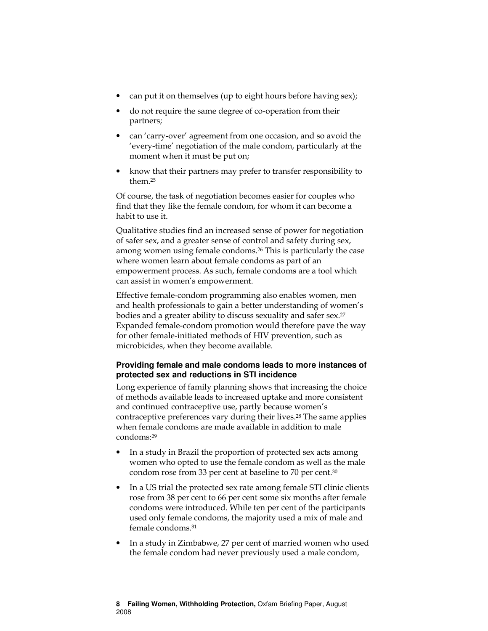- can put it on themselves (up to eight hours before having sex);
- do not require the same degree of co-operation from their partners;
- can 'carry-over' agreement from one occasion, and so avoid the 'every-time' negotiation of the male condom, particularly at the moment when it must be put on;
- know that their partners may prefer to transfer responsibility to them.<sup>25</sup>

Of course, the task of negotiation becomes easier for couples who find that they like the female condom, for whom it can become a habit to use it.

Qualitative studies find an increased sense of power for negotiation of safer sex, and a greater sense of control and safety during sex, among women using female condoms.26 This is particularly the case where women learn about female condoms as part of an empowerment process. As such, female condoms are a tool which can assist in women's empowerment.

Effective female-condom programming also enables women, men and health professionals to gain a better understanding of women's bodies and a greater ability to discuss sexuality and safer sex.<sup>27</sup> Expanded female-condom promotion would therefore pave the way for other female-initiated methods of HIV prevention, such as microbicides, when they become available.

### **Providing female and male condoms leads to more instances of protected sex and reductions in STI incidence**

Long experience of family planning shows that increasing the choice of methods available leads to increased uptake and more consistent and continued contraceptive use, partly because women's contraceptive preferences vary during their lives.28 The same applies when female condoms are made available in addition to male condoms:<sup>29</sup>

- In a study in Brazil the proportion of protected sex acts among women who opted to use the female condom as well as the male condom rose from 33 per cent at baseline to 70 per cent.<sup>30</sup>
- In a US trial the protected sex rate among female STI clinic clients rose from 38 per cent to 66 per cent some six months after female condoms were introduced. While ten per cent of the participants used only female condoms, the majority used a mix of male and female condoms.<sup>31</sup>
- In a study in Zimbabwe, 27 per cent of married women who used the female condom had never previously used a male condom,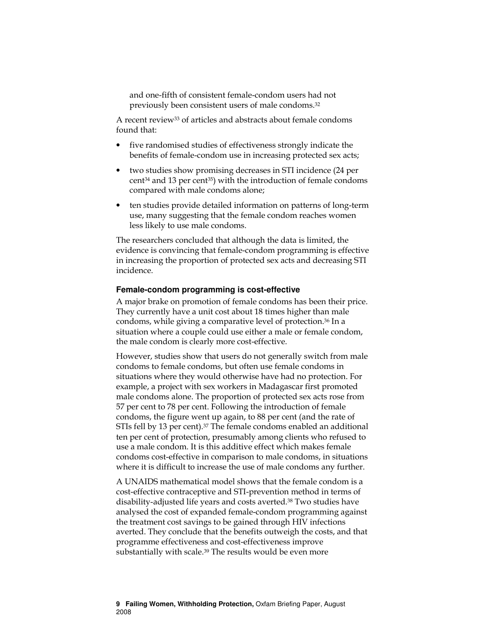and one-fifth of consistent female-condom users had not previously been consistent users of male condoms.<sup>32</sup>

A recent review33 of articles and abstracts about female condoms found that:

- five randomised studies of effectiveness strongly indicate the benefits of female-condom use in increasing protected sex acts;
- two studies show promising decreases in STI incidence (24 per cent34 and 13 per cent35) with the introduction of female condoms compared with male condoms alone;
- ten studies provide detailed information on patterns of long-term use, many suggesting that the female condom reaches women less likely to use male condoms.

The researchers concluded that although the data is limited, the evidence is convincing that female-condom programming is effective in increasing the proportion of protected sex acts and decreasing STI incidence.

#### **Female-condom programming is cost-effective**

A major brake on promotion of female condoms has been their price. They currently have a unit cost about 18 times higher than male condoms, while giving a comparative level of protection.36 In a situation where a couple could use either a male or female condom, the male condom is clearly more cost-effective.

However, studies show that users do not generally switch from male condoms to female condoms, but often use female condoms in situations where they would otherwise have had no protection. For example, a project with sex workers in Madagascar first promoted male condoms alone. The proportion of protected sex acts rose from 57 per cent to 78 per cent. Following the introduction of female condoms, the figure went up again, to 88 per cent (and the rate of STIs fell by 13 per cent).37 The female condoms enabled an additional ten per cent of protection, presumably among clients who refused to use a male condom. It is this additive effect which makes female condoms cost-effective in comparison to male condoms, in situations where it is difficult to increase the use of male condoms any further.

A UNAIDS mathematical model shows that the female condom is a cost-effective contraceptive and STI-prevention method in terms of disability-adjusted life years and costs averted.38 Two studies have analysed the cost of expanded female-condom programming against the treatment cost savings to be gained through HIV infections averted. They conclude that the benefits outweigh the costs, and that programme effectiveness and cost-effectiveness improve substantially with scale.<sup>39</sup> The results would be even more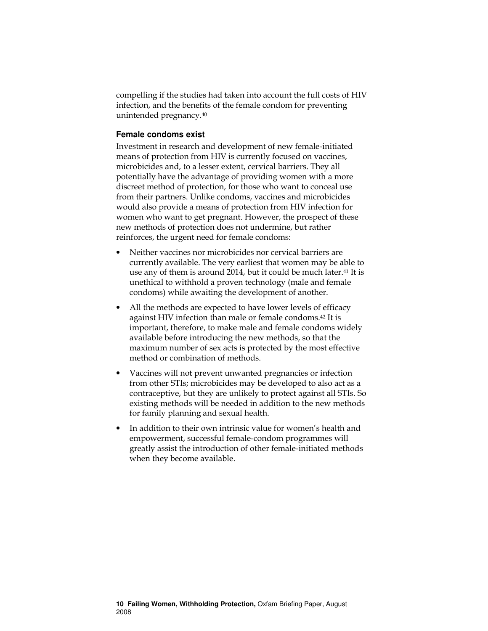compelling if the studies had taken into account the full costs of HIV infection, and the benefits of the female condom for preventing unintended pregnancy.<sup>40</sup>

#### **Female condoms exist**

Investment in research and development of new female-initiated means of protection from HIV is currently focused on vaccines, microbicides and, to a lesser extent, cervical barriers. They all potentially have the advantage of providing women with a more discreet method of protection, for those who want to conceal use from their partners. Unlike condoms, vaccines and microbicides would also provide a means of protection from HIV infection for women who want to get pregnant. However, the prospect of these new methods of protection does not undermine, but rather reinforces, the urgent need for female condoms:

- Neither vaccines nor microbicides nor cervical barriers are currently available. The very earliest that women may be able to use any of them is around 2014, but it could be much later.<sup>41</sup> It is unethical to withhold a proven technology (male and female condoms) while awaiting the development of another.
- All the methods are expected to have lower levels of efficacy against HIV infection than male or female condoms.42 It is important, therefore, to make male and female condoms widely available before introducing the new methods, so that the maximum number of sex acts is protected by the most effective method or combination of methods.
- Vaccines will not prevent unwanted pregnancies or infection from other STIs; microbicides may be developed to also act as a contraceptive, but they are unlikely to protect against all STIs. So existing methods will be needed in addition to the new methods for family planning and sexual health.
- In addition to their own intrinsic value for women's health and empowerment, successful female-condom programmes will greatly assist the introduction of other female-initiated methods when they become available.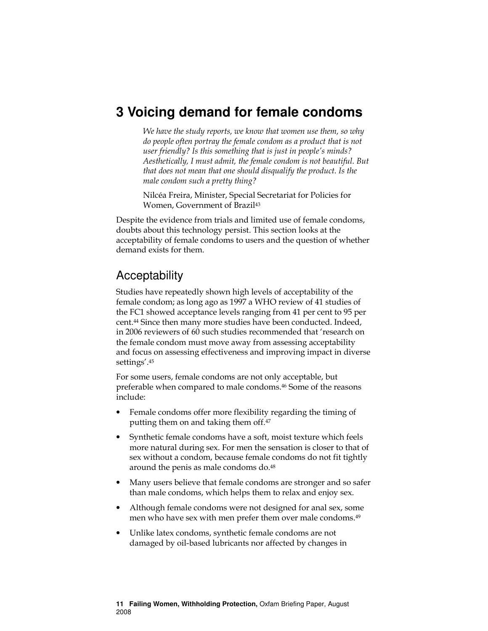### **3 Voicing demand for female condoms**

We have the study reports, we know that women use them, so why do people often portray the female condom as a product that is not user friendly? Is this something that is just in people's minds? Aesthetically, I must admit, the female condom is not beautiful. But that does not mean that one should disqualify the product. Is the male condom such a pretty thing?

Nilcéa Freira, Minister, Special Secretariat for Policies for Women, Government of Brazil<sup>43</sup>

Despite the evidence from trials and limited use of female condoms, doubts about this technology persist. This section looks at the acceptability of female condoms to users and the question of whether demand exists for them.

### Acceptability

Studies have repeatedly shown high levels of acceptability of the female condom; as long ago as 1997 a WHO review of 41 studies of the FC1 showed acceptance levels ranging from 41 per cent to 95 per cent.44 Since then many more studies have been conducted. Indeed, in 2006 reviewers of 60 such studies recommended that 'research on the female condom must move away from assessing acceptability and focus on assessing effectiveness and improving impact in diverse settings'.<sup>45</sup>

For some users, female condoms are not only acceptable, but preferable when compared to male condoms.46 Some of the reasons include:

- Female condoms offer more flexibility regarding the timing of putting them on and taking them off.<sup>47</sup>
- Synthetic female condoms have a soft, moist texture which feels more natural during sex. For men the sensation is closer to that of sex without a condom, because female condoms do not fit tightly around the penis as male condoms do.<sup>48</sup>
- Many users believe that female condoms are stronger and so safer than male condoms, which helps them to relax and enjoy sex.
- Although female condoms were not designed for anal sex, some men who have sex with men prefer them over male condoms.<sup>49</sup>
- Unlike latex condoms, synthetic female condoms are not damaged by oil-based lubricants nor affected by changes in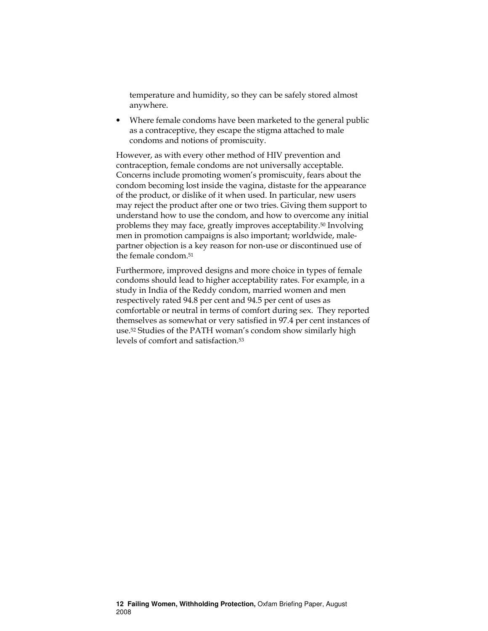temperature and humidity, so they can be safely stored almost anywhere.

• Where female condoms have been marketed to the general public as a contraceptive, they escape the stigma attached to male condoms and notions of promiscuity.

However, as with every other method of HIV prevention and contraception, female condoms are not universally acceptable. Concerns include promoting women's promiscuity, fears about the condom becoming lost inside the vagina, distaste for the appearance of the product, or dislike of it when used. In particular, new users may reject the product after one or two tries. Giving them support to understand how to use the condom, and how to overcome any initial problems they may face, greatly improves acceptability.50 Involving men in promotion campaigns is also important; worldwide, malepartner objection is a key reason for non-use or discontinued use of the female condom.<sup>51</sup>

Furthermore, improved designs and more choice in types of female condoms should lead to higher acceptability rates. For example, in a study in India of the Reddy condom, married women and men respectively rated 94.8 per cent and 94.5 per cent of uses as comfortable or neutral in terms of comfort during sex. They reported themselves as somewhat or very satisfied in 97.4 per cent instances of use.52 Studies of the PATH woman's condom show similarly high levels of comfort and satisfaction.53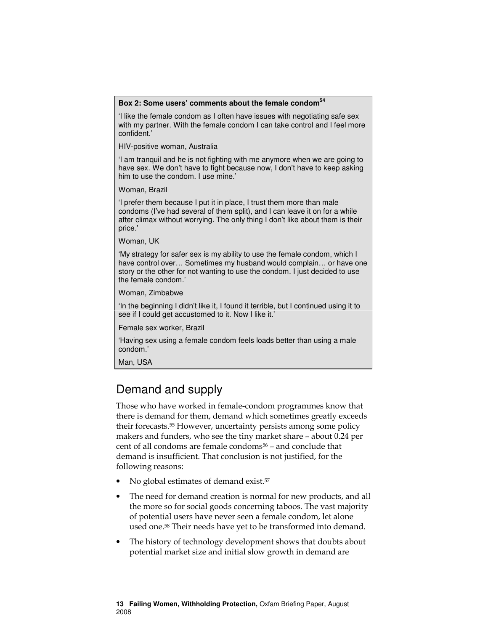### **Box 2: Some users' comments about the female condom<sup>54</sup>**

'I like the female condom as I often have issues with negotiating safe sex with my partner. With the female condom I can take control and I feel more confident.'

HIV-positive woman, Australia

'I am tranquil and he is not fighting with me anymore when we are going to have sex. We don't have to fight because now, I don't have to keep asking him to use the condom. I use mine.'

Woman, Brazil

'I prefer them because I put it in place, I trust them more than male condoms (I've had several of them split), and I can leave it on for a while after climax without worrying. The only thing I don't like about them is their price.'

Woman, UK

'My strategy for safer sex is my ability to use the female condom, which I have control over… Sometimes my husband would complain… or have one story or the other for not wanting to use the condom. I just decided to use the female condom.'

Woman, Zimbabwe

'In the beginning I didn't like it, I found it terrible, but I continued using it to see if I could get accustomed to it. Now I like it.'

Female sex worker, Brazil

'Having sex using a female condom feels loads better than using a male condom.'

Man, USA

### Demand and supply

Those who have worked in female-condom programmes know that there is demand for them, demand which sometimes greatly exceeds their forecasts.55 However, uncertainty persists among some policy makers and funders, who see the tiny market share – about 0.24 per cent of all condoms are female condoms<sup>56</sup> - and conclude that demand is insufficient. That conclusion is not justified, for the following reasons:

- No global estimates of demand exist.<sup>57</sup>
- The need for demand creation is normal for new products, and all the more so for social goods concerning taboos. The vast majority of potential users have never seen a female condom, let alone used one.58 Their needs have yet to be transformed into demand.
- The history of technology development shows that doubts about potential market size and initial slow growth in demand are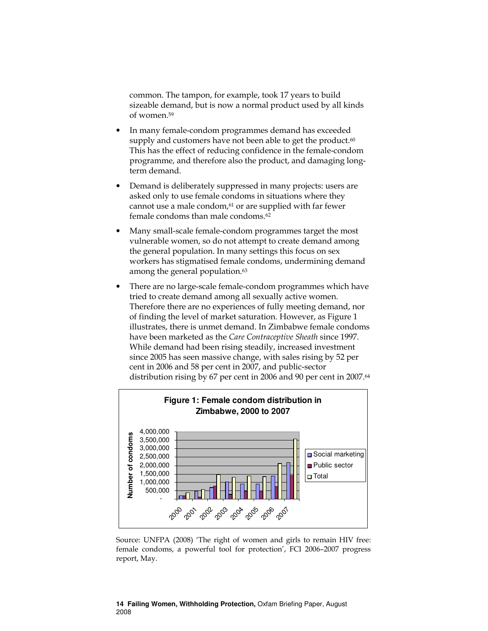common. The tampon, for example, took 17 years to build sizeable demand, but is now a normal product used by all kinds of women.<sup>59</sup>

- In many female-condom programmes demand has exceeded supply and customers have not been able to get the product.<sup>60</sup> This has the effect of reducing confidence in the female-condom programme, and therefore also the product, and damaging longterm demand.
- Demand is deliberately suppressed in many projects: users are asked only to use female condoms in situations where they cannot use a male condom, $61$  or are supplied with far fewer female condoms than male condoms.<sup>62</sup>
- Many small-scale female-condom programmes target the most vulnerable women, so do not attempt to create demand among the general population. In many settings this focus on sex workers has stigmatised female condoms, undermining demand among the general population.<sup>63</sup>
- There are no large-scale female-condom programmes which have tried to create demand among all sexually active women. Therefore there are no experiences of fully meeting demand, nor of finding the level of market saturation. However, as Figure 1 illustrates, there is unmet demand. In Zimbabwe female condoms have been marketed as the Care Contraceptive Sheath since 1997. While demand had been rising steadily, increased investment since 2005 has seen massive change, with sales rising by 52 per cent in 2006 and 58 per cent in 2007, and public-sector distribution rising by 67 per cent in 2006 and 90 per cent in 2007.<sup>64</sup>



Source: UNFPA (2008) 'The right of women and girls to remain HIV free: female condoms, a powerful tool for protection', FCI 2006–2007 progress report, May.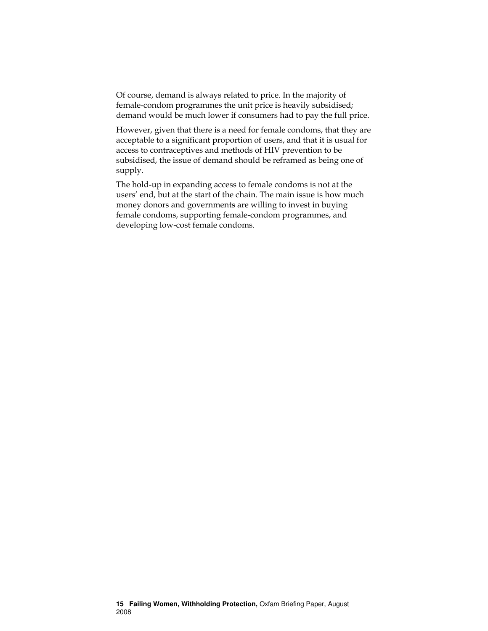Of course, demand is always related to price. In the majority of female-condom programmes the unit price is heavily subsidised; demand would be much lower if consumers had to pay the full price.

However, given that there is a need for female condoms, that they are acceptable to a significant proportion of users, and that it is usual for access to contraceptives and methods of HIV prevention to be subsidised, the issue of demand should be reframed as being one of supply.

The hold-up in expanding access to female condoms is not at the users' end, but at the start of the chain. The main issue is how much money donors and governments are willing to invest in buying female condoms, supporting female-condom programmes, and developing low-cost female condoms.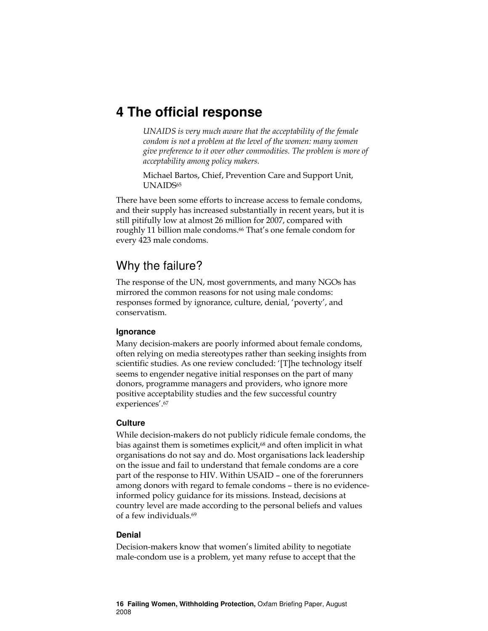### **4 The official response**

UNAIDS is very much aware that the acceptability of the female condom is not a problem at the level of the women: many women give preference to it over other commodities. The problem is more of acceptability among policy makers.

Michael Bartos, Chief, Prevention Care and Support Unit, UNAIDS<sub>65</sub>

There have been some efforts to increase access to female condoms, and their supply has increased substantially in recent years, but it is still pitifully low at almost 26 million for 2007, compared with roughly 11 billion male condoms.66 That's one female condom for every 423 male condoms.

### Why the failure?

The response of the UN, most governments, and many NGOs has mirrored the common reasons for not using male condoms: responses formed by ignorance, culture, denial, 'poverty', and conservatism.

### **Ignorance**

Many decision-makers are poorly informed about female condoms, often relying on media stereotypes rather than seeking insights from scientific studies. As one review concluded: '[T]he technology itself seems to engender negative initial responses on the part of many donors, programme managers and providers, who ignore more positive acceptability studies and the few successful country experiences'.<sup>67</sup>

### **Culture**

While decision-makers do not publicly ridicule female condoms, the bias against them is sometimes explicit,<sup>68</sup> and often implicit in what organisations do not say and do. Most organisations lack leadership on the issue and fail to understand that female condoms are a core part of the response to HIV. Within USAID – one of the forerunners among donors with regard to female condoms – there is no evidenceinformed policy guidance for its missions. Instead, decisions at country level are made according to the personal beliefs and values of a few individuals.<sup>69</sup>

### **Denial**

Decision-makers know that women's limited ability to negotiate male-condom use is a problem, yet many refuse to accept that the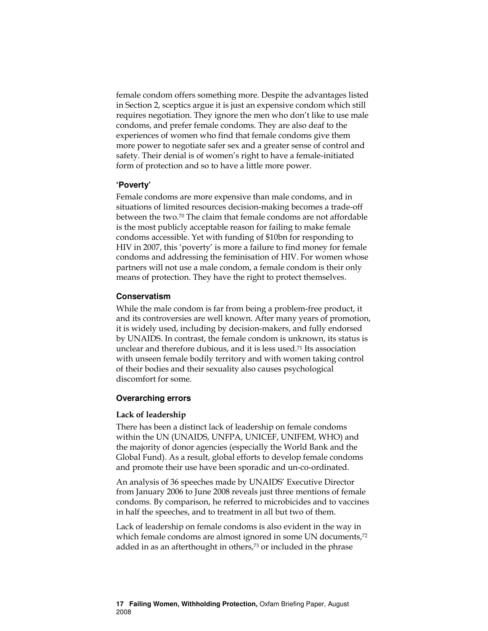female condom offers something more. Despite the advantages listed in Section 2, sceptics argue it is just an expensive condom which still requires negotiation. They ignore the men who don't like to use male condoms, and prefer female condoms. They are also deaf to the experiences of women who find that female condoms give them more power to negotiate safer sex and a greater sense of control and safety. Their denial is of women's right to have a female-initiated form of protection and so to have a little more power.

#### **'Poverty'**

Female condoms are more expensive than male condoms, and in situations of limited resources decision-making becomes a trade-off between the two.70 The claim that female condoms are not affordable is the most publicly acceptable reason for failing to make female condoms accessible. Yet with funding of \$10bn for responding to HIV in 2007, this 'poverty' is more a failure to find money for female condoms and addressing the feminisation of HIV. For women whose partners will not use a male condom, a female condom is their only means of protection. They have the right to protect themselves.

#### **Conservatism**

While the male condom is far from being a problem-free product, it and its controversies are well known. After many years of promotion, it is widely used, including by decision-makers, and fully endorsed by UNAIDS. In contrast, the female condom is unknown, its status is unclear and therefore dubious, and it is less used.71 Its association with unseen female bodily territory and with women taking control of their bodies and their sexuality also causes psychological discomfort for some.

#### **Overarching errors**

#### Lack of leadership

There has been a distinct lack of leadership on female condoms within the UN (UNAIDS, UNFPA, UNICEF, UNIFEM, WHO) and the majority of donor agencies (especially the World Bank and the Global Fund). As a result, global efforts to develop female condoms and promote their use have been sporadic and un-co-ordinated.

An analysis of 36 speeches made by UNAIDS' Executive Director from January 2006 to June 2008 reveals just three mentions of female condoms. By comparison, he referred to microbicides and to vaccines in half the speeches, and to treatment in all but two of them.

Lack of leadership on female condoms is also evident in the way in which female condoms are almost ignored in some UN documents,<sup>72</sup> added in as an afterthought in others,<sup>73</sup> or included in the phrase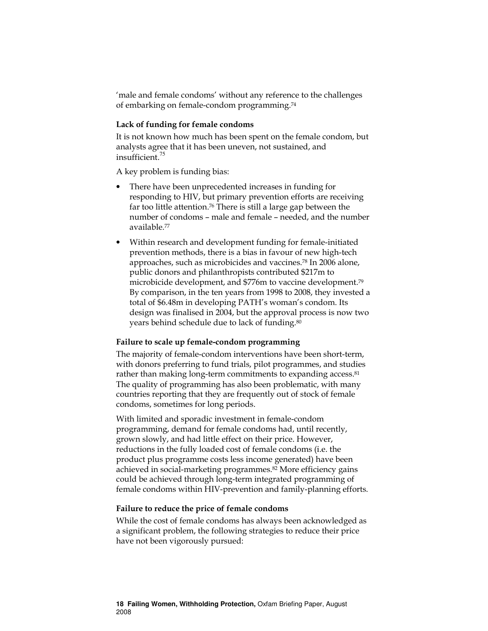'male and female condoms' without any reference to the challenges of embarking on female-condom programming.<sup>74</sup>

#### Lack of funding for female condoms

It is not known how much has been spent on the female condom, but analysts agree that it has been uneven, not sustained, and insufficient.<sup>75</sup>

A key problem is funding bias:

- There have been unprecedented increases in funding for responding to HIV, but primary prevention efforts are receiving far too little attention.76 There is still a large gap between the number of condoms – male and female – needed, and the number available.<sup>77</sup>
- Within research and development funding for female-initiated prevention methods, there is a bias in favour of new high-tech approaches, such as microbicides and vaccines.78 In 2006 alone, public donors and philanthropists contributed \$217m to microbicide development, and \$776m to vaccine development.<sup>79</sup> By comparison, in the ten years from 1998 to 2008, they invested a total of \$6.48m in developing PATH's woman's condom. Its design was finalised in 2004, but the approval process is now two years behind schedule due to lack of funding.<sup>80</sup>

#### Failure to scale up female-condom programming

The majority of female-condom interventions have been short-term, with donors preferring to fund trials, pilot programmes, and studies rather than making long-term commitments to expanding access.<sup>81</sup> The quality of programming has also been problematic, with many countries reporting that they are frequently out of stock of female condoms, sometimes for long periods.

With limited and sporadic investment in female-condom programming, demand for female condoms had, until recently, grown slowly, and had little effect on their price. However, reductions in the fully loaded cost of female condoms (i.e. the product plus programme costs less income generated) have been achieved in social-marketing programmes.82 More efficiency gains could be achieved through long-term integrated programming of female condoms within HIV-prevention and family-planning efforts.

#### Failure to reduce the price of female condoms

While the cost of female condoms has always been acknowledged as a significant problem, the following strategies to reduce their price have not been vigorously pursued: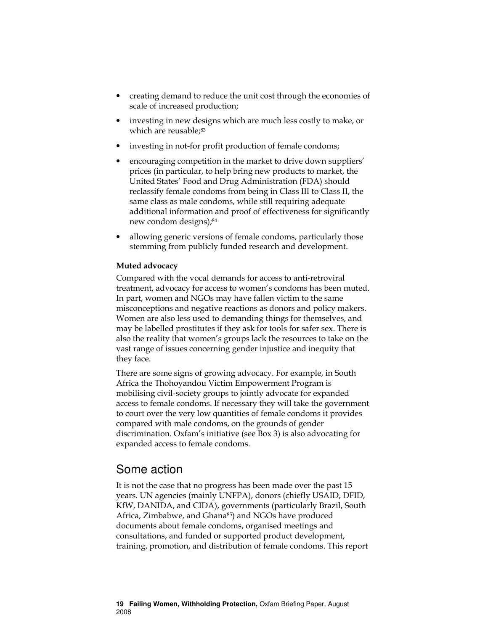- creating demand to reduce the unit cost through the economies of scale of increased production;
- investing in new designs which are much less costly to make, or which are reusable;83
- investing in not-for profit production of female condoms;
- encouraging competition in the market to drive down suppliers' prices (in particular, to help bring new products to market, the United States' Food and Drug Administration (FDA) should reclassify female condoms from being in Class III to Class II, the same class as male condoms, while still requiring adequate additional information and proof of effectiveness for significantly new condom designs);<sup>84</sup>
- allowing generic versions of female condoms, particularly those stemming from publicly funded research and development.

#### Muted advocacy

Compared with the vocal demands for access to anti-retroviral treatment, advocacy for access to women's condoms has been muted. In part, women and NGOs may have fallen victim to the same misconceptions and negative reactions as donors and policy makers. Women are also less used to demanding things for themselves, and may be labelled prostitutes if they ask for tools for safer sex. There is also the reality that women's groups lack the resources to take on the vast range of issues concerning gender injustice and inequity that they face.

There are some signs of growing advocacy. For example, in South Africa the Thohoyandou Victim Empowerment Program is mobilising civil-society groups to jointly advocate for expanded access to female condoms. If necessary they will take the government to court over the very low quantities of female condoms it provides compared with male condoms, on the grounds of gender discrimination. Oxfam's initiative (see Box 3) is also advocating for expanded access to female condoms.

### Some action

It is not the case that no progress has been made over the past 15 years. UN agencies (mainly UNFPA), donors (chiefly USAID, DFID, KfW, DANIDA, and CIDA), governments (particularly Brazil, South Africa, Zimbabwe, and Ghana<sup>85</sup>) and NGOs have produced documents about female condoms, organised meetings and consultations, and funded or supported product development, training, promotion, and distribution of female condoms. This report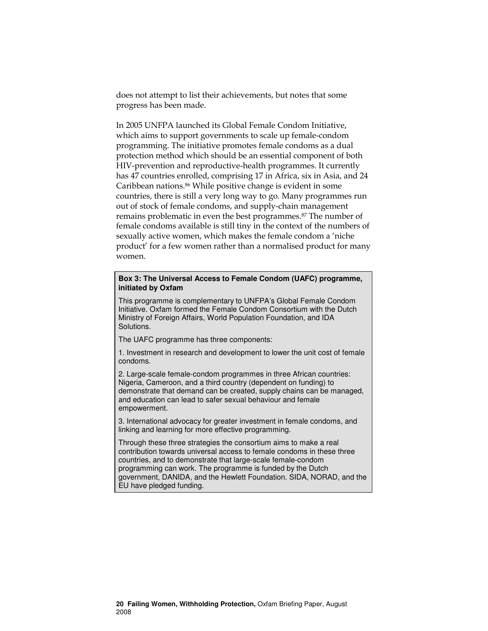does not attempt to list their achievements, but notes that some progress has been made.

In 2005 UNFPA launched its Global Female Condom Initiative, which aims to support governments to scale up female-condom programming. The initiative promotes female condoms as a dual protection method which should be an essential component of both HIV-prevention and reproductive-health programmes. It currently has 47 countries enrolled, comprising 17 in Africa, six in Asia, and 24 Caribbean nations.86 While positive change is evident in some countries, there is still a very long way to go. Many programmes run out of stock of female condoms, and supply-chain management remains problematic in even the best programmes.87 The number of female condoms available is still tiny in the context of the numbers of sexually active women, which makes the female condom a 'niche product' for a few women rather than a normalised product for many women.

#### **Box 3: The Universal Access to Female Condom (UAFC) programme, initiated by Oxfam**

This programme is complementary to UNFPA's Global Female Condom Initiative. Oxfam formed the Female Condom Consortium with the Dutch Ministry of Foreign Affairs, World Population Foundation, and IDA Solutions.

The UAFC programme has three components:

1. Investment in research and development to lower the unit cost of female condoms.

2. Large-scale female-condom programmes in three African countries: Nigeria, Cameroon, and a third country (dependent on funding) to demonstrate that demand can be created, supply chains can be managed, and education can lead to safer sexual behaviour and female empowerment.

3. International advocacy for greater investment in female condoms, and linking and learning for more effective programming.

Through these three strategies the consortium aims to make a real contribution towards universal access to female condoms in these three countries, and to demonstrate that large-scale female-condom programming can work. The programme is funded by the Dutch government, DANIDA, and the Hewlett Foundation. SIDA, NORAD, and the EU have pledged funding.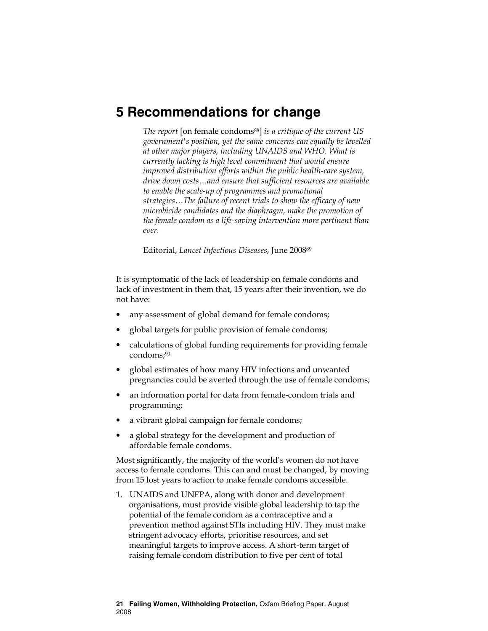### **5 Recommendations for change**

The report [on female condoms<sup>88</sup>] is a critique of the current US government's position, yet the same concerns can equally be levelled at other major players, including UNAIDS and WHO. What is currently lacking is high level commitment that would ensure improved distribution efforts within the public health-care system, drive down costs…and ensure that sufficient resources are available to enable the scale-up of programmes and promotional strategies…The failure of recent trials to show the efficacy of new microbicide candidates and the diaphragm, make the promotion of the female condom as a life-saving intervention more pertinent than ever.

Editorial, Lancet Infectious Diseases, June 2008<sup>89</sup>

It is symptomatic of the lack of leadership on female condoms and lack of investment in them that, 15 years after their invention, we do not have:

- any assessment of global demand for female condoms;
- global targets for public provision of female condoms;
- calculations of global funding requirements for providing female condoms;90
- global estimates of how many HIV infections and unwanted pregnancies could be averted through the use of female condoms;
- an information portal for data from female-condom trials and programming;
- a vibrant global campaign for female condoms;
- a global strategy for the development and production of affordable female condoms.

Most significantly, the majority of the world's women do not have access to female condoms. This can and must be changed, by moving from 15 lost years to action to make female condoms accessible.

1. UNAIDS and UNFPA, along with donor and development organisations, must provide visible global leadership to tap the potential of the female condom as a contraceptive and a prevention method against STIs including HIV. They must make stringent advocacy efforts, prioritise resources, and set meaningful targets to improve access. A short-term target of raising female condom distribution to five per cent of total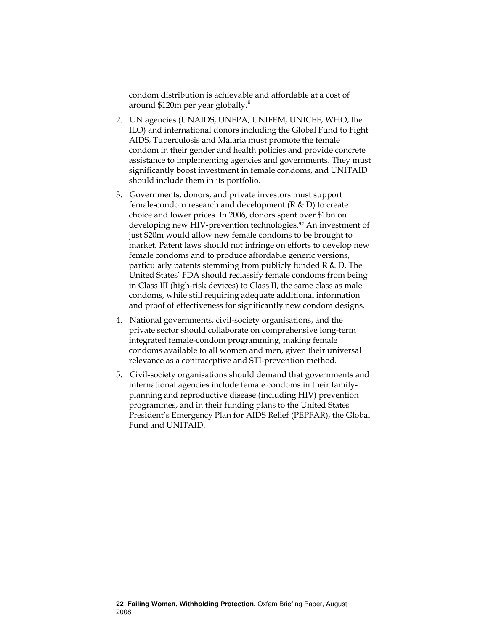condom distribution is achievable and affordable at a cost of around \$120m per year globally.<sup>91</sup>

- 2. UN agencies (UNAIDS, UNFPA, UNIFEM, UNICEF, WHO, the ILO) and international donors including the Global Fund to Fight AIDS, Tuberculosis and Malaria must promote the female condom in their gender and health policies and provide concrete assistance to implementing agencies and governments. They must significantly boost investment in female condoms, and UNITAID should include them in its portfolio.
- 3. Governments, donors, and private investors must support female-condom research and development (R & D) to create choice and lower prices. In 2006, donors spent over \$1bn on developing new HIV-prevention technologies.92 An investment of just \$20m would allow new female condoms to be brought to market. Patent laws should not infringe on efforts to develop new female condoms and to produce affordable generic versions, particularly patents stemming from publicly funded R & D. The United States' FDA should reclassify female condoms from being in Class III (high-risk devices) to Class II, the same class as male condoms, while still requiring adequate additional information and proof of effectiveness for significantly new condom designs.
- 4. National governments, civil-society organisations, and the private sector should collaborate on comprehensive long-term integrated female-condom programming, making female condoms available to all women and men, given their universal relevance as a contraceptive and STI-prevention method.
- 5. Civil-society organisations should demand that governments and international agencies include female condoms in their familyplanning and reproductive disease (including HIV) prevention programmes, and in their funding plans to the United States President's Emergency Plan for AIDS Relief (PEPFAR), the Global Fund and UNITAID.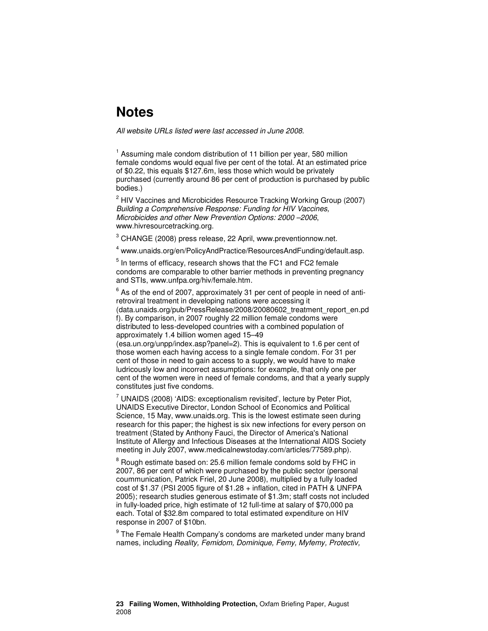### **Notes**

All website URLs listed were last accessed in June 2008.

<sup>1</sup> Assuming male condom distribution of 11 billion per year, 580 million female condoms would equal five per cent of the total. At an estimated price of \$0.22, this equals \$127.6m, less those which would be privately purchased (currently around 86 per cent of production is purchased by public bodies.)

<sup>2</sup> HIV Vaccines and Microbicides Resource Tracking Working Group (2007) Building a Comprehensive Response: Funding for HIV Vaccines, Microbicides and other New Prevention Options: 2000 –2006, www.hivresourcetracking.org.

<sup>3</sup> CHANGE (2008) press release, 22 April, www.preventionnow.net.

4 www.unaids.org/en/PolicyAndPractice/ResourcesAndFunding/default.asp.

 $<sup>5</sup>$  In terms of efficacy, research shows that the FC1 and FC2 female</sup> condoms are comparable to other barrier methods in preventing pregnancy and STIs, www.unfpa.org/hiv/female.htm.

 $^6$  As of the end of 2007, approximately 31 per cent of people in need of antiretroviral treatment in developing nations were accessing it (data.unaids.org/pub/PressRelease/2008/20080602\_treatment\_report\_en.pd f). By comparison, in 2007 roughly 22 million female condoms were distributed to less-developed countries with a combined population of approximately 1.4 billion women aged 15–49 (esa.un.org/unpp/index.asp?panel=2). This is equivalent to 1.6 per cent of those women each having access to a single female condom. For 31 per

cent of those in need to gain access to a supply, we would have to make ludricously low and incorrect assumptions: for example, that only one per cent of the women were in need of female condoms, and that a yearly supply constitutes just five condoms.

 $7$  UNAIDS (2008) 'AIDS: exceptionalism revisited', lecture by Peter Piot, UNAIDS Executive Director, London School of Economics and Political Science, 15 May, www.unaids.org. This is the lowest estimate seen during research for this paper; the highest is six new infections for every person on treatment (Stated by Anthony Fauci, the Director of America's National Institute of Allergy and Infectious Diseases at the International AIDS Society meeting in July 2007, www.medicalnewstoday.com/articles/77589.php).

 $8$  Rough estimate based on: 25.6 million female condoms sold by FHC in 2007, 86 per cent of which were purchased by the public sector (personal coummunication, Patrick Friel, 20 June 2008), multiplied by a fully loaded cost of \$1.37 (PSI 2005 figure of \$1.28 + inflation, cited in PATH & UNFPA 2005); research studies generous estimate of \$1.3m; staff costs not included in fully-loaded price, high estimate of 12 full-time at salary of \$70,000 pa each. Total of \$32.8m compared to total estimated expenditure on HIV response in 2007 of \$10bn.

<sup>9</sup> The Female Health Company's condoms are marketed under many brand names, including Reality, Femidom, Dominique, Femy, Myfemy, Protectiv,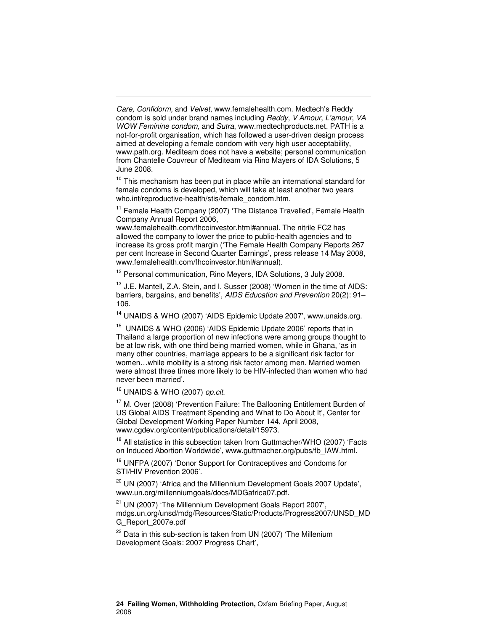Care, Confidorm, and Velvet, www.femalehealth.com. Medtech's Reddy condom is sold under brand names including Reddy, V Amour, L'amour, VA WOW Feminine condom, and Sutra, www.medtechproducts.net. PATH is a not-for-profit organisation, which has followed a user-driven design process aimed at developing a female condom with very high user acceptability, www.path.org. Mediteam does not have a website; personal communication from Chantelle Couvreur of Mediteam via Rino Mayers of IDA Solutions, 5 June 2008.

 $10$  This mechanism has been put in place while an international standard for female condoms is developed, which will take at least another two years who.int/reproductive-health/stis/female\_condom.htm.

<sup>11</sup> Female Health Company (2007) 'The Distance Travelled', Female Health Company Annual Report 2006,

www.femalehealth.com/fhcoinvestor.html#annual. The nitrile FC2 has allowed the company to lower the price to public-health agencies and to increase its gross profit margin ('The Female Health Company Reports 267 per cent Increase in Second Quarter Earnings', press release 14 May 2008, www.femalehealth.com/fhcoinvestor.html#annual).

<sup>12</sup> Personal communication, Rino Meyers, IDA Solutions, 3 July 2008.

<sup>13</sup> J.E. Mantell, Z.A. Stein, and I. Susser (2008) 'Women in the time of AIDS: barriers, bargains, and benefits', AIDS Education and Prevention 20(2): 91– 106.

<sup>14</sup> UNAIDS & WHO (2007) 'AIDS Epidemic Update 2007', www.unaids.org.

<sup>15</sup> UNAIDS & WHO (2006) 'AIDS Epidemic Update 2006' reports that in Thailand a large proportion of new infections were among groups thought to be at low risk, with one third being married women, while in Ghana, 'as in many other countries, marriage appears to be a significant risk factor for women…while mobility is a strong risk factor among men. Married women were almost three times more likely to be HIV-infected than women who had never been married'.

 $16$  UNAIDS & WHO (2007) op.cit.

-

<sup>17</sup> M. Over (2008) 'Prevention Failure: The Ballooning Entitlement Burden of US Global AIDS Treatment Spending and What to Do About It', Center for Global Development Working Paper Number 144, April 2008, www.cgdev.org/content/publications/detail/15973.

 $18$  All statistics in this subsection taken from Guttmacher/WHO (2007) 'Facts on Induced Abortion Worldwide', www.guttmacher.org/pubs/fb\_IAW.html.

<sup>19</sup> UNFPA (2007) 'Donor Support for Contraceptives and Condoms for STI/HIV Prevention 2006'.

<sup>20</sup> UN (2007) 'Africa and the Millennium Development Goals 2007 Update', www.un.org/millenniumgoals/docs/MDGafrica07.pdf.

<sup>21</sup> UN (2007) 'The Millennium Development Goals Report 2007', mdgs.un.org/unsd/mdg/Resources/Static/Products/Progress2007/UNSD\_MD G\_Report\_2007e.pdf

 $22$  Data in this sub-section is taken from UN (2007) 'The Millenium Development Goals: 2007 Progress Chart',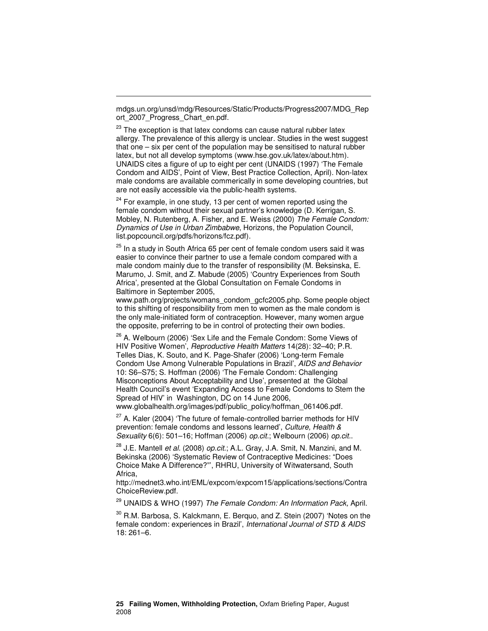mdgs.un.org/unsd/mdg/Resources/Static/Products/Progress2007/MDG\_Rep ort\_2007\_Progress\_Chart\_en.pdf.

-

 $23$  The exception is that latex condoms can cause natural rubber latex allergy. The prevalence of this allergy is unclear. Studies in the west suggest that one – six per cent of the population may be sensitised to natural rubber latex, but not all develop symptoms (www.hse.gov.uk/latex/about.htm). UNAIDS cites a figure of up to eight per cent (UNAIDS (1997) 'The Female Condom and AIDS', Point of View, Best Practice Collection, April). Non-latex male condoms are available commerically in some developing countries, but are not easily accessible via the public-health systems.

 $24$  For example, in one study, 13 per cent of women reported using the female condom without their sexual partner's knowledge (D. Kerrigan, S. Mobley, N. Rutenberg, A. Fisher, and E. Weiss (2000) The Female Condom: Dynamics of Use in Urban Zimbabwe, Horizons, the Population Council, list.popcouncil.org/pdfs/horizons/fcz.pdf).

 $25$  In a study in South Africa 65 per cent of female condom users said it was easier to convince their partner to use a female condom compared with a male condom mainly due to the transfer of responsibility (M. Beksinska, E. Marumo, J. Smit, and Z. Mabude (2005) 'Country Experiences from South Africa', presented at the Global Consultation on Female Condoms in Baltimore in September 2005,

www.path.org/projects/womans\_condom\_gcfc2005.php. Some people object to this shifting of responsibility from men to women as the male condom is the only male-initiated form of contraception. However, many women argue the opposite, preferring to be in control of protecting their own bodies.

<sup>26</sup> A. Welbourn (2006) 'Sex Life and the Female Condom: Some Views of HIV Positive Women', Reproductive Health Matters 14(28): 32–40; P.R. Telles Dias, K. Souto, and K. Page-Shafer (2006) 'Long-term Female Condom Use Among Vulnerable Populations in Brazil', AIDS and Behavior 10: S6–S75; S. Hoffman (2006) 'The Female Condom: Challenging Misconceptions About Acceptability and Use', presented at the Global Health Council's event 'Expanding Access to Female Condoms to Stem the Spread of HIV' in Washington, DC on 14 June 2006, www.globalhealth.org/images/pdf/public\_policy/hoffman\_061406.pdf.

 $27$  A. Kaler (2004) The future of female-controlled barrier methods for HIV prevention: female condoms and lessons learned', Culture, Health & Sexuality 6(6): 501–16; Hoffman (2006) op.cit.; Welbourn (2006) op.cit..

 $^{28}$  J.E. Mantell et al. (2008) op.cit.; A.L. Gray, J.A. Smit, N. Manzini, and M. Bekinska (2006) 'Systematic Review of Contraceptive Medicines: "Does Choice Make A Difference?"', RHRU, University of Witwatersand, South Africa,

http://mednet3.who.int/EML/expcom/expcom15/applications/sections/Contra ChoiceReview.pdf.

<sup>29</sup> UNAIDS & WHO (1997) The Female Condom: An Information Pack, April.

 $30$  R.M. Barbosa, S. Kalckmann, E. Berquo, and Z. Stein (2007) 'Notes on the female condom: experiences in Brazil', International Journal of STD & AIDS 18: 261–6.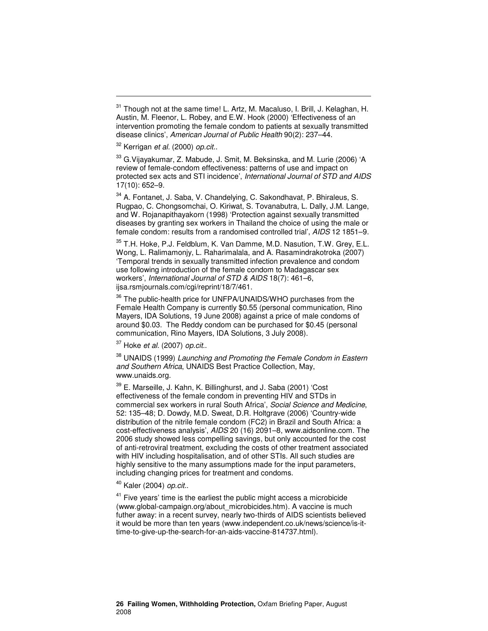-

<sup>33</sup> G. Vijayakumar, Z. Mabude, J. Smit, M. Beksinska, and M. Lurie (2006) 'A review of female-condom effectiveness: patterns of use and impact on protected sex acts and STI incidence', International Journal of STD and AIDS 17(10): 652–9.

<sup>34</sup> A. Fontanet, J. Saba, V. Chandelying, C. Sakondhavat, P. Bhiraleus, S. Rugpao, C. Chongsomchai, O. Kiriwat, S. Tovanabutra, L. Dally, J.M. Lange, and W. Rojanapithayakorn (1998) 'Protection against sexually transmitted diseases by granting sex workers in Thailand the choice of using the male or female condom: results from a randomised controlled trial', AIDS 12 1851–9.

<sup>35</sup> T.H. Hoke, P.J. Feldblum, K. Van Damme, M.D. Nasution, T.W. Grey, E.L. Wong, L. Ralimamonjy, L. Raharimalala, and A. Rasamindrakotroka (2007) 'Temporal trends in sexually transmitted infection prevalence and condom use following introduction of the female condom to Madagascar sex workers', International Journal of STD & AIDS 18(7): 461–6, ijsa.rsmjournals.com/cgi/reprint/18/7/461.

<sup>36</sup> The public-health price for UNFPA/UNAIDS/WHO purchases from the Female Health Company is currently \$0.55 (personal communication, Rino Mayers, IDA Solutions, 19 June 2008) against a price of male condoms of around \$0.03. The Reddy condom can be purchased for \$0.45 (personal communication, Rino Mayers, IDA Solutions, 3 July 2008).

 $37$  Hoke et al. (2007) op.cit..

<sup>38</sup> UNAIDS (1999) Launching and Promoting the Female Condom in Eastern and Southern Africa, UNAIDS Best Practice Collection, May, www.unaids.org.

 $39$  E. Marseille, J. Kahn, K. Billinghurst, and J. Saba (2001) 'Cost effectiveness of the female condom in preventing HIV and STDs in commercial sex workers in rural South Africa', Social Science and Medicine, 52: 135–48; D. Dowdy, M.D. Sweat, D.R. Holtgrave (2006) 'Country-wide distribution of the nitrile female condom (FC2) in Brazil and South Africa: a cost-effectiveness analysis', AIDS 20 (16) 2091–8, www.aidsonline.com. The 2006 study showed less compelling savings, but only accounted for the cost of anti-retroviral treatment, excluding the costs of other treatment associated with HIV including hospitalisation, and of other STIs. All such studies are highly sensitive to the many assumptions made for the input parameters, including changing prices for treatment and condoms.

<sup>40</sup> Kaler (2004) op.cit..

 $41$  Five years' time is the earliest the public might access a microbicide (www.global-campaign.org/about\_microbicides.htm). A vaccine is much futher away: in a recent survey, nearly two-thirds of AIDS scientists believed it would be more than ten years (www.independent.co.uk/news/science/is-ittime-to-give-up-the-search-for-an-aids-vaccine-814737.html).

 $31$  Though not at the same time! L. Artz, M. Macaluso, I. Brill, J. Kelaghan, H. Austin, M. Fleenor, L. Robey, and E.W. Hook (2000) 'Effectiveness of an intervention promoting the female condom to patients at sexually transmitted disease clinics', American Journal of Public Health 90(2): 237–44.

<sup>&</sup>lt;sup>32</sup> Kerrigan et al. (2000) op.cit..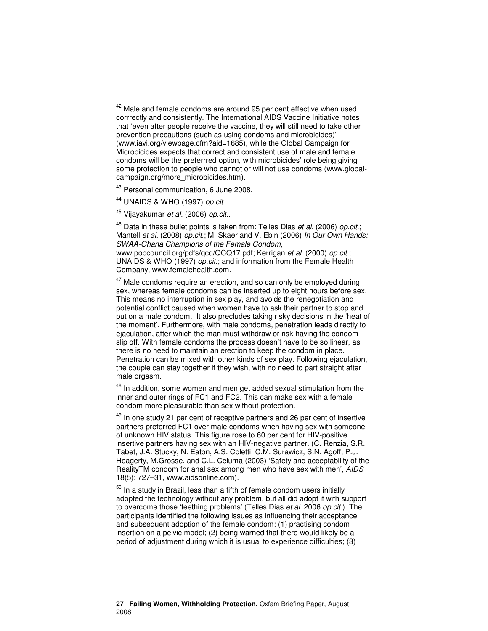$42$  Male and female condoms are around 95 per cent effective when used corrrectly and consistently. The International AIDS Vaccine Initiative notes that 'even after people receive the vaccine, they will still need to take other prevention precautions (such as using condoms and microbicides)' (www.iavi.org/viewpage.cfm?aid=1685), while the Global Campaign for Microbicides expects that correct and consistent use of male and female condoms will be the preferrred option, with microbicides' role being giving some protection to people who cannot or will not use condoms (www.globalcampaign.org/more\_microbicides.htm).

<sup>43</sup> Personal communication, 6 June 2008.

<sup>44</sup> UNAIDS & WHO (1997) op.cit..

-

<sup>45</sup> Vijayakumar et al. (2006) op.cit..

 $46$  Data in these bullet points is taken from: Telles Dias et al. (2006) op.cit.; Mantell et al. (2008) op.cit.; M. Skaer and V. Ebin (2006) In Our Own Hands: SWAA-Ghana Champions of the Female Condom,

www.popcouncil.org/pdfs/qcq/QCQ17.pdf; Kerrigan et al. (2000) op.cit.; UNAIDS & WHO (1997) op.cit.; and information from the Female Health Company, www.femalehealth.com.

 $47$  Male condoms require an erection, and so can only be employed during sex, whereas female condoms can be inserted up to eight hours before sex. This means no interruption in sex play, and avoids the renegotiation and potential conflict caused when women have to ask their partner to stop and put on a male condom. It also precludes taking risky decisions in the 'heat of the moment'. Furthermore, with male condoms, penetration leads directly to ejaculation, after which the man must withdraw or risk having the condom slip off. With female condoms the process doesn't have to be so linear, as there is no need to maintain an erection to keep the condom in place. Penetration can be mixed with other kinds of sex play. Following ejaculation, the couple can stay together if they wish, with no need to part straight after male orgasm.

<sup>48</sup> In addition, some women and men get added sexual stimulation from the inner and outer rings of FC1 and FC2. This can make sex with a female condom more pleasurable than sex without protection.

 $49$  In one study 21 per cent of receptive partners and 26 per cent of insertive partners preferred FC1 over male condoms when having sex with someone of unknown HIV status. This figure rose to 60 per cent for HIV-positive insertive partners having sex with an HIV-negative partner. (C. Renzia, S.R. Tabet, J.A. Stucky, N. Eaton, A.S. Coletti, C.M. Surawicz, S.N. Agoff, P.J. Heagerty, M.Grosse, and C.L. Celuma (2003) 'Safety and acceptability of the RealityTM condom for anal sex among men who have sex with men', AIDS 18(5): 727–31, www.aidsonline.com).

 $50$  In a study in Brazil, less than a fifth of female condom users initially adopted the technology without any problem, but all did adopt it with support to overcome those 'teething problems' (Telles Dias et al. 2006 op.cit.). The participants identified the following issues as influencing their acceptance and subsequent adoption of the female condom: (1) practising condom insertion on a pelvic model; (2) being warned that there would likely be a period of adjustment during which it is usual to experience difficulties; (3)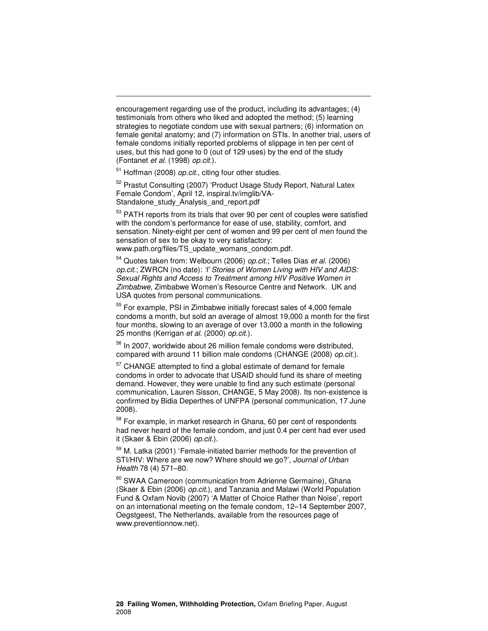encouragement regarding use of the product, including its advantages; (4) testimonials from others who liked and adopted the method; (5) learning strategies to negotiate condom use with sexual partners; (6) information on female genital anatomy; and (7) information on STIs. In another trial, users of female condoms initially reported problems of slippage in ten per cent of uses, but this had gone to 0 (out of 129 uses) by the end of the study (Fontanet et al. (1998) op.cit.).

<sup>51</sup> Hoffman (2008) *op.cit.*, citing four other studies.

-

<sup>52</sup> Prastut Consulting (2007) 'Product Usage Study Report, Natural Latex Female Condom', April 12, inspiral.tv/imglib/VA-Standalone study Analysis and report.pdf

<sup>53</sup> PATH reports from its trials that over 90 per cent of couples were satisfied with the condom's performance for ease of use, stability, comfort, and sensation. Ninety-eight per cent of women and 99 per cent of men found the sensation of sex to be okay to very satisfactory: www.path.org/files/TS\_update\_womans\_condom.pdf.

<sup>54</sup> Quotes taken from: Welbourn (2006) op.cit.; Telles Dias et al. (2006) op.cit.; ZWRCN (no date): 'I' Stories of Women Living with HIV and AIDS: Sexual Rights and Access to Treatment among HIV Positive Women in Zimbabwe, Zimbabwe Women's Resource Centre and Network. UK and USA quotes from personal communications.

<sup>55</sup> For example, PSI in Zimbabwe initially forecast sales of 4,000 female condoms a month, but sold an average of almost 19,000 a month for the first four months, slowing to an average of over 13,000 a month in the following 25 months (Kerrigan et al. (2000) op.cit.).

<sup>56</sup> In 2007, worldwide about 26 million female condoms were distributed, compared with around 11 billion male condoms (CHANGE (2008) op.cit.).

<sup>57</sup> CHANGE attempted to find a global estimate of demand for female condoms in order to advocate that USAID should fund its share of meeting demand. However, they were unable to find any such estimate (personal communication, Lauren Sisson, CHANGE, 5 May 2008). Its non-existence is confirmed by Bidia Deperthes of UNFPA (personal communication, 17 June 2008).

<sup>58</sup> For example, in market research in Ghana, 60 per cent of respondents had never heard of the female condom, and just 0.4 per cent had ever used it (Skaer & Ebin (2006) op.cit.).

<sup>59</sup> M. Latka (2001) 'Female-initiated barrier methods for the prevention of STI/HIV: Where are we now? Where should we go?', Journal of Urban Health 78 (4) 571–80.

<sup>60</sup> SWAA Cameroon (communication from Adrienne Germaine), Ghana (Skaer & Ebin (2006) op.cit.), and Tanzania and Malawi (World Population Fund & Oxfam Novib (2007) 'A Matter of Choice Rather than Noise', report on an international meeting on the female condom, 12–14 September 2007, Oegstgeest, The Netherlands, available from the resources page of www.preventionnow.net).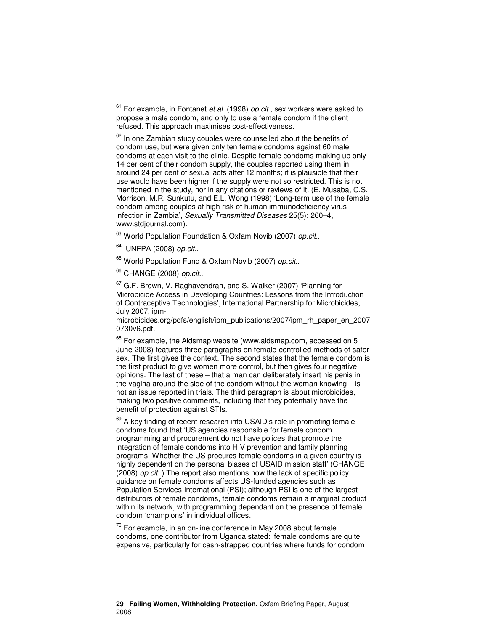<sup>63</sup> World Population Foundation & Oxfam Novib (2007) op.cit..

UNFPA (2008) op.cit..

-

<sup>65</sup> World Population Fund & Oxfam Novib (2007) op.cit..

<sup>66</sup> CHANGE (2008) op.cit..

 $67$  G.F. Brown, V. Raghavendran, and S. Walker (2007) 'Planning for Microbicide Access in Developing Countries: Lessons from the Introduction of Contraceptive Technologies', International Partnership for Microbicides, July 2007, ipm-

microbicides.org/pdfs/english/ipm\_publications/2007/ipm\_rh\_paper\_en\_2007 0730v6.pdf.

 $68$  For example, the Aidsmap website (www.aidsmap.com, accessed on 5 June 2008) features three paragraphs on female-controlled methods of safer sex. The first gives the context. The second states that the female condom is the first product to give women more control, but then gives four negative opinions. The last of these – that a man can deliberately insert his penis in the vagina around the side of the condom without the woman knowing – is not an issue reported in trials. The third paragraph is about microbicides, making two positive comments, including that they potentially have the benefit of protection against STIs.

<sup>69</sup> A key finding of recent research into USAID's role in promoting female condoms found that 'US agencies responsible for female condom programming and procurement do not have polices that promote the integration of female condoms into HIV prevention and family planning programs. Whether the US procures female condoms in a given country is highly dependent on the personal biases of USAID mission staff' (CHANGE (2008) op.cit..) The report also mentions how the lack of specific policy guidance on female condoms affects US-funded agencies such as Population Services International (PSI); although PSI is one of the largest distributors of female condoms, female condoms remain a marginal product within its network, with programming dependant on the presence of female condom 'champions' in individual offices.

 $70$  For example, in an on-line conference in May 2008 about female condoms, one contributor from Uganda stated: 'female condoms are quite expensive, particularly for cash-strapped countries where funds for condom

 $61$  For example, in Fontanet et al. (1998) op.cit., sex workers were asked to propose a male condom, and only to use a female condom if the client refused. This approach maximises cost-effectiveness.

 $62$  In one Zambian study couples were counselled about the benefits of condom use, but were given only ten female condoms against 60 male condoms at each visit to the clinic. Despite female condoms making up only 14 per cent of their condom supply, the couples reported using them in around 24 per cent of sexual acts after 12 months; it is plausible that their use would have been higher if the supply were not so restricted. This is not mentioned in the study, nor in any citations or reviews of it. (E. Musaba, C.S. Morrison, M.R. Sunkutu, and E.L. Wong (1998) 'Long-term use of the female condom among couples at high risk of human immunodeficiency virus infection in Zambia', Sexually Transmitted Diseases 25(5): 260–4, www.stdjournal.com).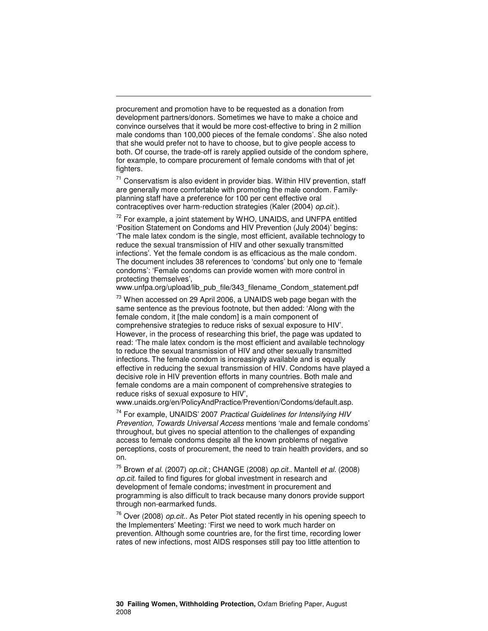procurement and promotion have to be requested as a donation from development partners/donors. Sometimes we have to make a choice and convince ourselves that it would be more cost-effective to bring in 2 million male condoms than 100,000 pieces of the female condoms'. She also noted that she would prefer not to have to choose, but to give people access to both. Of course, the trade-off is rarely applied outside of the condom sphere, for example, to compare procurement of female condoms with that of jet fighters.

-

 $71$  Conservatism is also evident in provider bias. Within HIV prevention, staff are generally more comfortable with promoting the male condom. Familyplanning staff have a preference for 100 per cent effective oral contraceptives over harm-reduction strategies (Kaler (2004) op.cit.).

 $72$  For example, a joint statement by WHO, UNAIDS, and UNFPA entitled 'Position Statement on Condoms and HIV Prevention (July 2004)' begins: 'The male latex condom is the single, most efficient, available technology to reduce the sexual transmission of HIV and other sexually transmitted infections'. Yet the female condom is as efficacious as the male condom. The document includes 38 references to 'condoms' but only one to 'female condoms': 'Female condoms can provide women with more control in protecting themselves',

www.unfpa.org/upload/lib\_pub\_file/343\_filename\_Condom\_statement.pdf

 $73$  When accessed on 29 April 2006, a UNAIDS web page began with the same sentence as the previous footnote, but then added: 'Along with the female condom, it [the male condom] is a main component of comprehensive strategies to reduce risks of sexual exposure to HIV'. However, in the process of researching this brief, the page was updated to read: 'The male latex condom is the most efficient and available technology to reduce the sexual transmission of HIV and other sexually transmitted infections. The female condom is increasingly available and is equally effective in reducing the sexual transmission of HIV. Condoms have played a decisive role in HIV prevention efforts in many countries. Both male and female condoms are a main component of comprehensive strategies to reduce risks of sexual exposure to HIV',

www.unaids.org/en/PolicyAndPractice/Prevention/Condoms/default.asp.

 $74$  For example, UNAIDS' 2007 Practical Guidelines for Intensifying HIV Prevention, Towards Universal Access mentions 'male and female condoms' throughout, but gives no special attention to the challenges of expanding access to female condoms despite all the known problems of negative perceptions, costs of procurement, the need to train health providers, and so on.

 $^{75}$  Brown et al. (2007) op.cit.; CHANGE (2008) op.cit.. Mantell et al. (2008) op.cit. failed to find figures for global investment in research and development of female condoms; investment in procurement and programming is also difficult to track because many donors provide support through non-earmarked funds.

 $76$  Over (2008) op.cit.. As Peter Piot stated recently in his opening speech to the Implementers' Meeting: 'First we need to work much harder on prevention. Although some countries are, for the first time, recording lower rates of new infections, most AIDS responses still pay too little attention to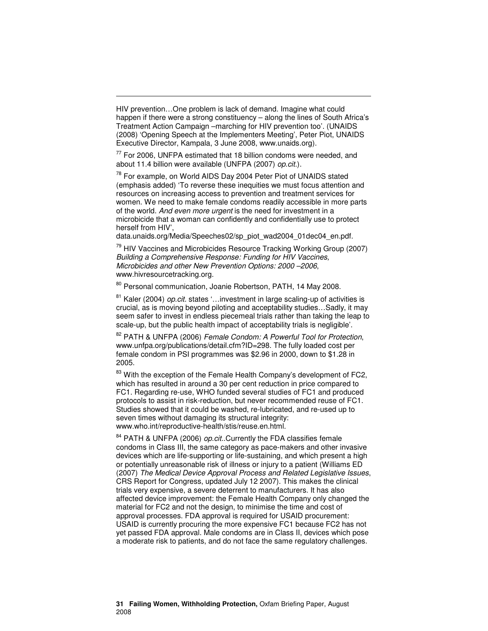HIV prevention…One problem is lack of demand. Imagine what could happen if there were a strong constituency – along the lines of South Africa's Treatment Action Campaign –marching for HIV prevention too'. (UNAIDS (2008) 'Opening Speech at the Implementers Meeting', Peter Piot, UNAIDS Executive Director, Kampala, 3 June 2008, www.unaids.org).

-

 $77$  For 2006, UNFPA estimated that 18 billion condoms were needed, and about 11.4 billion were available (UNFPA (2007) op.cit.).

<sup>78</sup> For example, on World AIDS Day 2004 Peter Piot of UNAIDS stated (emphasis added) 'To reverse these inequities we must focus attention and resources on increasing access to prevention and treatment services for women. We need to make female condoms readily accessible in more parts of the world. And even more urgent is the need for investment in a microbicide that a woman can confidently and confidentially use to protect herself from HIV',

data.unaids.org/Media/Speeches02/sp\_piot\_wad2004\_01dec04\_en.pdf.

 $79$  HIV Vaccines and Microbicides Resource Tracking Working Group (2007) Building a Comprehensive Response: Funding for HIV Vaccines, Microbicides and other New Prevention Options: 2000 –2006, www.hivresourcetracking.org.

80 Personal communication, Joanie Robertson, PATH, 14 May 2008.

 $81$  Kaler (2004) *op.cit.* states '... investment in large scaling-up of activities is crucial, as is moving beyond piloting and acceptability studies…Sadly, it may seem safer to invest in endless piecemeal trials rather than taking the leap to scale-up, but the public health impact of acceptability trials is negligible'.

82 PATH & UNFPA (2006) Female Condom: A Powerful Tool for Protection, www.unfpa.org/publications/detail.cfm?ID=298. The fully loaded cost per female condom in PSI programmes was \$2.96 in 2000, down to \$1.28 in 2005.

<sup>83</sup> With the exception of the Female Health Company's development of FC2, which has resulted in around a 30 per cent reduction in price compared to FC1. Regarding re-use, WHO funded several studies of FC1 and produced protocols to assist in risk-reduction, but never recommended reuse of FC1. Studies showed that it could be washed, re-lubricated, and re-used up to seven times without damaging its structural integrity: www.who.int/reproductive-health/stis/reuse.en.html.

 $84$  PATH & UNFPA (2006) op.cit..Currently the FDA classifies female condoms in Class III, the same category as pace-makers and other invasive devices which are life-supporting or life-sustaining, and which present a high or potentially unreasonable risk of illness or injury to a patient (Williams ED (2007) The Medical Device Approval Process and Related Legislative Issues, CRS Report for Congress, updated July 12 2007). This makes the clinical trials very expensive, a severe deterrent to manufacturers. It has also affected device improvement: the Female Health Company only changed the material for FC2 and not the design, to minimise the time and cost of approval processes. FDA approval is required for USAID procurement: USAID is currently procuring the more expensive FC1 because FC2 has not yet passed FDA approval. Male condoms are in Class II, devices which pose a moderate risk to patients, and do not face the same regulatory challenges.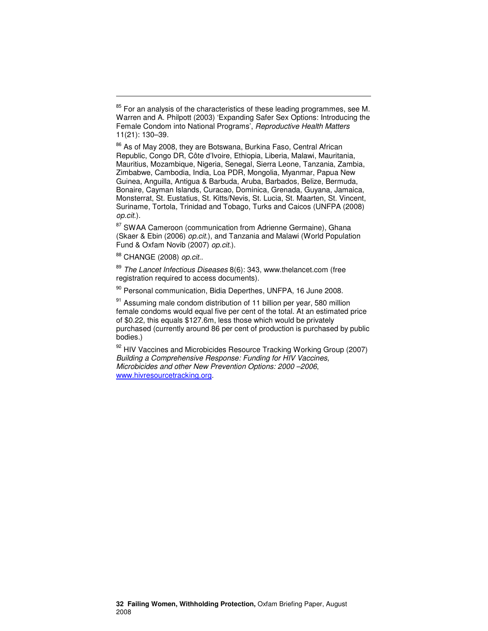<sup>86</sup> As of May 2008, they are Botswana, Burkina Faso, Central African Republic, Congo DR, Côte d'Ivoire, Ethiopia, Liberia, Malawi, Mauritania, Mauritius, Mozambique, Nigeria, Senegal, Sierra Leone, Tanzania, Zambia, Zimbabwe, Cambodia, India, Loa PDR, Mongolia, Myanmar, Papua New Guinea, Anguilla, Antigua & Barbuda, Aruba, Barbados, Belize, Bermuda, Bonaire, Cayman Islands, Curacao, Dominica, Grenada, Guyana, Jamaica, Monsterrat, St. Eustatius, St. Kitts/Nevis, St. Lucia, St. Maarten, St. Vincent, Suriname, Tortola, Trinidad and Tobago, Turks and Caicos (UNFPA (2008) op.cit.).

87 SWAA Cameroon (communication from Adrienne Germaine), Ghana (Skaer & Ebin (2006) op.cit.), and Tanzania and Malawi (World Population Fund & Oxfam Novib (2007) op.cit.).

88 CHANGE (2008) op.cit..

-

 $89$  The Lancet Infectious Diseases 8(6): 343, www.thelancet.com (free registration required to access documents).

90 Personal communication, Bidia Deperthes, UNFPA, 16 June 2008.

<sup>91</sup> Assuming male condom distribution of 11 billion per year, 580 million female condoms would equal five per cent of the total. At an estimated price of \$0.22, this equals \$127.6m, less those which would be privately purchased (currently around 86 per cent of production is purchased by public bodies.)

92 HIV Vaccines and Microbicides Resource Tracking Working Group (2007) Building a Comprehensive Response: Funding for HIV Vaccines, Microbicides and other New Prevention Options: 2000 –2006, www.hivresourcetracking.org.

 $85$  For an analysis of the characteristics of these leading programmes, see M. Warren and A. Philpott (2003) 'Expanding Safer Sex Options: Introducing the Female Condom into National Programs', Reproductive Health Matters 11(21): 130–39.